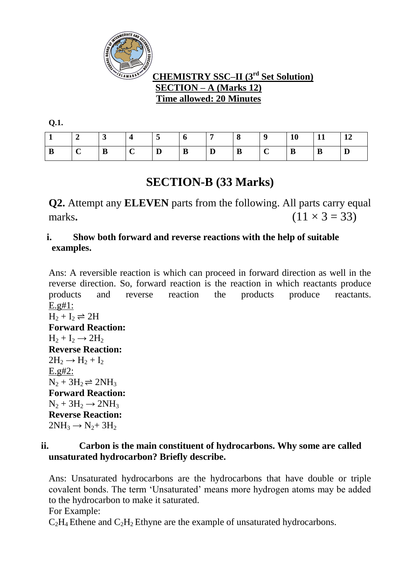

# **CHEMISTRY SSC–II (3 rd Set Solution) SECTION – A (Marks 12) Time allowed: 20 Minutes**

**Q.1.** 

|   | ັ | 4               | ు | O        |   | 0<br>$\Omega$ |   | 10 |   | $\frac{12}{2}$ |
|---|---|-----------------|---|----------|---|---------------|---|----|---|----------------|
| B | B | $\sqrt{ }$<br>◟ | D | $\bf{B}$ | D | B             | ◡ | D  | B | D              |

# **SECTION-B (33 Marks)**

**Q2.** Attempt any **ELEVEN** parts from the following. All parts carry equal marks.  $(11 \times 3 = 33)$ 

# **i. Show both forward and reverse reactions with the help of suitable examples.**

Ans: A reversible reaction is which can proceed in forward direction as well in the reverse direction. So, forward reaction is the reaction in which reactants produce products and reverse reaction the products produce reactants. E.g#1:  $H_2 + I_2 \rightleftharpoons 2H$ **Forward Reaction:**  $H_2 + I_2 \rightarrow 2H_2$ **Reverse Reaction:**  $2H_2 \rightarrow H_2 + I_2$ E.g#2:  $N_2 + 3H_2 \rightleftharpoons 2NH_3$ **Forward Reaction:**  $N_2 + 3H_2 \rightarrow 2NH_3$ **Reverse Reaction:**  $2NH_3 \rightarrow N_2+3H_2$ 

# **ii. Carbon is the main constituent of hydrocarbons. Why some are called unsaturated hydrocarbon? Briefly describe.**

Ans: Unsaturated hydrocarbons are the hydrocarbons that have double or triple covalent bonds. The term 'Unsaturated' means more hydrogen atoms may be added to the hydrocarbon to make it saturated.

For Example:

 $C_2H_4$  Ethene and  $C_2H_2$  Ethyne are the example of unsaturated hydrocarbons.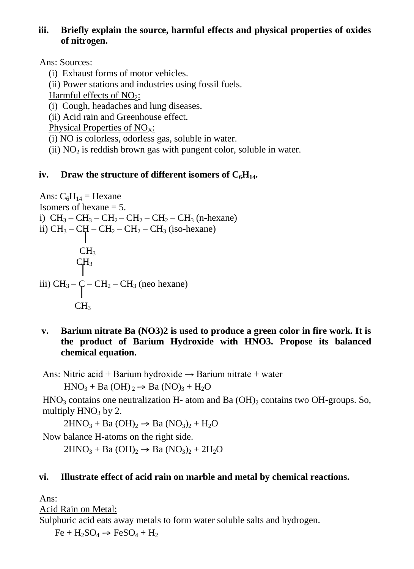#### **iii. Briefly explain the source, harmful effects and physical properties of oxides of nitrogen.**

Ans: Sources:

- (i) Exhaust forms of motor vehicles.
- (ii) Power stations and industries using fossil fuels.

Harmful effects of  $NO<sub>2</sub>$ :

(i) Cough, headaches and lung diseases.

(ii) Acid rain and Greenhouse effect.

Physical Properties of  $NO<sub>x</sub>$ :

(i) NO is colorless, odorless gas, soluble in water.

(ii)  $NO<sub>2</sub>$  is reddish brown gas with pungent color, soluble in water.

# **iv. Draw the structure of different isomers of**  $C_6H_{14}$ **.**

```
Ans: C_6H_{14} = Hexane
Isomers of hexane = 5.
i) CH_3-CH_3-CH_2-CH_2-CH_2-CH_3 (n-hexane)
ii) CH_3 - CH - CH_2 - CH_2 - CH_3 (iso-hexane)
     u and
         CH<sub>3</sub>CH<sub>3</sub>\blacksquareiii) CH_3 - C - CH_2 - CH_3 (neo hexane)
   and a basic
          CH<sub>3</sub>
```
**v. Barium nitrate Ba (NO3)2 is used to produce a green color in fire work. It is the product of Barium Hydroxide with HNO3. Propose its balanced chemical equation.**

Ans: Nitric acid + Barium hydroxide  $\rightarrow$  Barium nitrate + water

 $HNO<sub>3</sub> + Ba (OH) <sub>2</sub> \rightarrow Ba (NO)<sub>3</sub> + H<sub>2</sub>O$ 

 $HNO<sub>3</sub>$  contains one neutralization H- atom and Ba  $(OH)<sub>2</sub>$  contains two OH-groups. So, multiply  $HNO<sub>3</sub>$  by 2.

 $2HNO<sub>3</sub> + Ba(OH)<sub>2</sub> \rightarrow Ba(NO<sub>3</sub>)<sub>2</sub> + H<sub>2</sub>O$ 

Now balance H-atoms on the right side.

 $2HNO<sub>3</sub> + Ba (OH)<sub>2</sub> \rightarrow Ba (NO<sub>3</sub>)<sub>2</sub> + 2H<sub>2</sub>O$ 

# **vi. Illustrate effect of acid rain on marble and metal by chemical reactions.**

Ans:

Acid Rain on Metal:

Sulphuric acid eats away metals to form water soluble salts and hydrogen.

 $Fe + H_2SO_4 \rightarrow FeSO_4 + H_2$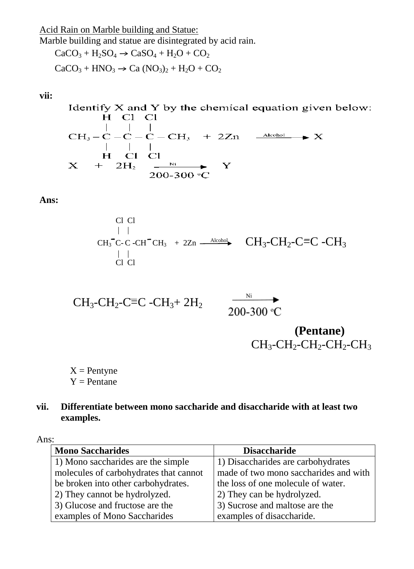Acid Rain on Marble building and Statue:

Marble building and statue are disintegrated by acid rain.<br>  $C_8CO + USO + CO + CO$  $\cdot$  C<sub>s</sub>SO<sub>+</sub> H<sub>O</sub> + CO<sup>2</sup>

$$
\text{CaCO}_3 + \text{H}_2\text{SO}_4 \rightarrow \text{CaSO}_4 + \text{H}_2\text{O} + \text{CO}_2
$$

$$
\text{CaCO}_3 + \text{HNO}_3 \rightarrow \text{Ca (NO}_3)_2 + \text{H}_2\text{O} + \text{CO}_2
$$

#### **vii:**

Identify X and Y by the chemical equation given below:  $H$   $Cl$   $Cl$ 

CH<sub>3</sub>-
$$
\begin{array}{ccc}\n & | & | & | \\
C_{1} & & | & | \\
C_{2} & -C_{1} & -C_{2} \\
 & | & | & | \\
H & C_{1} & C_{1} \\
X & + & 2H_{2} & \xrightarrow{N_{1}} Y \\
 & & 200-300 \text{ °C}\n\end{array}
$$

**Ans:**

$$
\begin{array}{c}\n\text{Cl} \text{ Cl} \\
\mid & \mid \\
\text{CH}_3 \text{ C-C-CH}^\top \text{CH}_3 + 2\text{Zn} \xrightarrow{\text{Alcohol}} \\
\mid & \mid \\
\text{Cl} \text{ Cl} \\
\end{array}\n\quad\n\begin{array}{c}\n\text{CH}_3\text{-CH}_2\text{-C}\text{=}C\text{ -CH}_3 \\
\text{CH}_3\text{-CH}_2\text{-C}\text{=}C\text{ -CH}_3\n\end{array}
$$

$$
CH_3\text{-}CH_2\text{-}C\equiv C\text{-}CH_3\text{+} 2H_2
$$

 $\overline{\phantom{1}}^{Ni}$ 200-300 °C

# **(Pentane)**  $CH_3$ - $CH_2$ - $CH_2$ - $CH_2$ - $CH_3$

 $X =$  Pentyne  $Y =$  Pentane

#### **vii. Differentiate between mono saccharide and disaccharide with at least two examples.**

Ans:

| <b>Mono Saccharides</b>                | <b>Disaccharide</b>                   |  |  |  |
|----------------------------------------|---------------------------------------|--|--|--|
| 1) Mono saccharides are the simple     | 1) Disaccharides are carbohydrates    |  |  |  |
| molecules of carbohydrates that cannot | made of two mono saccharides and with |  |  |  |
| be broken into other carbohydrates.    | the loss of one molecule of water.    |  |  |  |
| 2) They cannot be hydrolyzed.          | 2) They can be hydrolyzed.            |  |  |  |
| 3) Glucose and fructose are the        | 3) Sucrose and maltose are the        |  |  |  |
| examples of Mono Saccharides           | examples of disaccharide.             |  |  |  |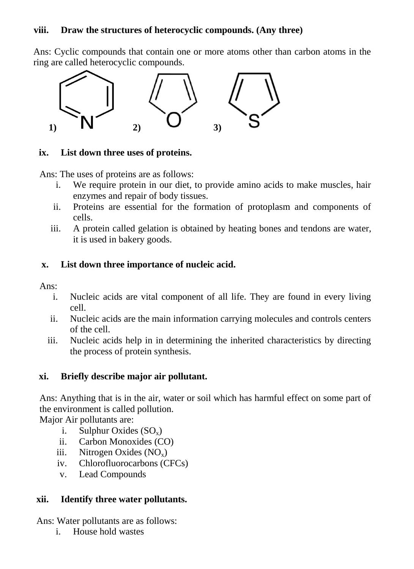#### **viii. Draw the structures of heterocyclic compounds. (Any three)**

Ans: Cyclic compounds that contain one or more atoms other than carbon atoms in the ring are called heterocyclic compounds.



#### **ix. List down three uses of proteins.**

Ans: The uses of proteins are as follows:

- i. We require protein in our diet, to provide amino acids to make muscles, hair enzymes and repair of body tissues.
- ii. Proteins are essential for the formation of protoplasm and components of cells.
- iii. A protein called gelation is obtained by heating bones and tendons are water, it is used in bakery goods.

#### **x. List down three importance of nucleic acid.**

Ans:

- i. Nucleic acids are vital component of all life. They are found in every living cell.
- ii. Nucleic acids are the main information carrying molecules and controls centers of the cell.
- iii. Nucleic acids help in in determining the inherited characteristics by directing the process of protein synthesis.

# **xi. Briefly describe major air pollutant.**

Ans: Anything that is in the air, water or soil which has harmful effect on some part of the environment is called pollution.

Major Air pollutants are:

- i. Sulphur Oxides  $(SO_x)$
- ii. Carbon Monoxides (CO)
- iii. Nitrogen Oxides  $(NO_x)$
- iv. Chlorofluorocarbons (CFCs)
- v. Lead Compounds

# **xii. Identify three water pollutants.**

Ans: Water pollutants are as follows:

i. House hold wastes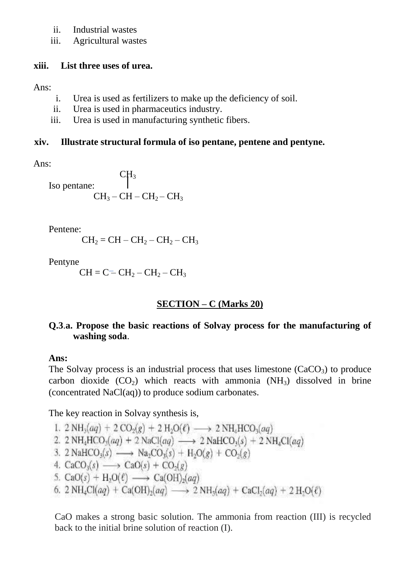- ii. Industrial wastes
- iii. Agricultural wastes

#### **xiii. List three uses of urea.**

Ans:

- i. Urea is used as fertilizers to make up the deficiency of soil.
- ii. Urea is used in pharmaceutics industry.
- iii. Urea is used in manufacturing synthetic fibers.

# **xiv. Illustrate structural formula of iso pentane, pentene and pentyne.**

Ans:

 $CH<sub>3</sub>$ Iso pentane:  $CH<sub>3</sub> - CH - CH<sub>2</sub> - CH<sub>3</sub>$ 

Pentene:

$$
CH_2 = CH - CH_2 - CH_2 - CH_3
$$

Pentyne

 $CH = C = CH<sub>2</sub> - CH<sub>2</sub> - CH<sub>3</sub>$ 

# **SECTION – C (Marks 20)**

# **Q.3**.**a. Propose the basic reactions of Solvay process for the manufacturing of washing soda**.

# **Ans:**

The Solvay process is an industrial process that uses limestone  $(CaCO<sub>3</sub>)$  to produce carbon dioxide  $(CO<sub>2</sub>)$  which reacts with ammonia  $(NH<sub>3</sub>)$  dissolved in brine (concentrated NaCl(aq)) to produce sodium carbonates.

The key reaction in Solvay synthesis is,

- 1.  $2 NH_3(aq) + 2 CO_2(g) + 2 H_2O(\ell) \longrightarrow 2 NH_4HCO_3(aq)$
- 2. 2 NH<sub>4</sub>HCO<sub>3</sub>(aq) + 2 NaCl(aq)  $\longrightarrow$  2 NaHCO<sub>3</sub>(s) + 2 NH<sub>4</sub>Cl(aq)
- 3. 2 NaHCO<sub>3</sub>(s)  $\longrightarrow$  Na<sub>2</sub>CO<sub>3</sub>(s) + H<sub>2</sub>O(g) + CO<sub>2</sub>(g)
- 4.  $CaCO<sub>3</sub>(s) \longrightarrow CaO(s) + CO<sub>2</sub>(g)$
- 5.  $CaO(s) + H_2O(\ell) \longrightarrow Ca(OH)_2(aq)$
- 6. 2 NH<sub>4</sub>Cl(aq) + Ca(OH)<sub>2</sub>(aq)  $\longrightarrow$  2 NH<sub>3</sub>(aq) + CaCl<sub>2</sub>(aq) + 2 H<sub>2</sub>O( $\ell$ )

CaO makes a strong basic solution. The ammonia from reaction (III) is recycled back to the initial brine solution of reaction (I).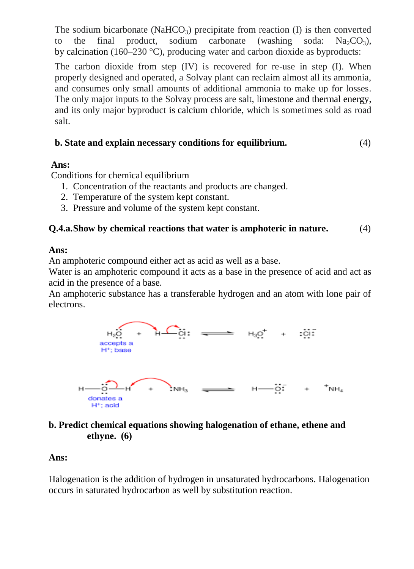The sodium bicarbonate (NaHCO<sub>3</sub>) precipitate from reaction  $(I)$  is then converted to the final product, sodium carbonate (washing soda:  $Na_2CO_3$ ), by [calcination](https://en.wikipedia.org/wiki/Calcination) (160–230 °C), producing water and carbon dioxide as byproducts:

The carbon dioxide from step (IV) is recovered for re-use in step (I). When properly designed and operated, a Solvay plant can reclaim almost all its ammonia, and consumes only small amounts of additional ammonia to make up for losses. The only major inputs to the Solvay process are salt, limestone and [thermal energy,](https://en.wikipedia.org/wiki/Thermal_energy) and its only major byproduct is [calcium chloride,](https://en.wikipedia.org/wiki/Calcium_chloride) which is sometimes sold as road salt.

#### **b. State and explain necessary conditions for equilibrium.** (4)

# **Ans:**

Conditions for chemical equilibrium

- 1. Concentration of the reactants and products are changed.
- 2. Temperature of the system kept constant.
- 3. Pressure and volume of the system kept constant.

#### **Q.4.a.Show by chemical reactions that water is amphoteric in nature.** (4)

#### **Ans:**

An amphoteric compound either act as acid as well as a base.

Water is an amphoteric compound it acts as a base in the presence of acid and act as acid in the presence of a base.

An amphoteric substance has a transferable hydrogen and an atom with lone pair of electrons.



# **b. Predict chemical equations showing halogenation of ethane, ethene and ethyne. (6)**

# **Ans:**

Halogenation is the addition of hydrogen in unsaturated hydrocarbons. Halogenation occurs in saturated hydrocarbon as well by substitution reaction.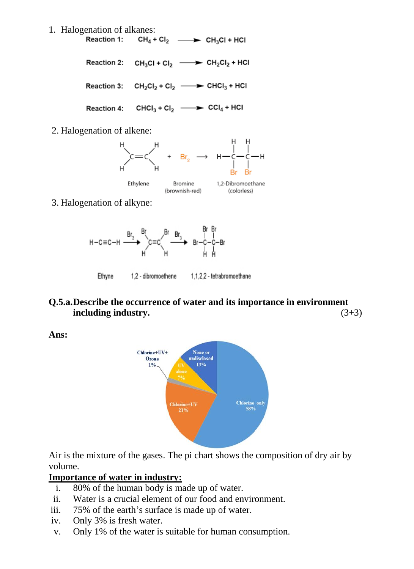1. Halogenation of alkanes:<br>Reaction 1:  $CH_4 + Cl_2 \longrightarrow CH_3Cl + HCl$ 

Reaction 2:  $CH_3Cl + Cl_2$   $\longrightarrow$   $CH_2Cl_2 + HCl$ 

Reaction 3:  $CH_2Cl_2 + Cl_2$   $\longrightarrow$  CHCl<sub>3</sub> + HCl

Reaction 4: CHCl<sub>3</sub> + Cl<sub>2</sub>  $\longrightarrow$  CCl<sub>4</sub> + HCl

2. Halogenation of alkene:



3. Halogenation of alkyne:



#### **Q.5.a.Describe the occurrence of water and its importance in environment including industry.** (3+3)

**Ans:**



Air is the mixture of the gases. The pi chart shows the composition of dry air by volume.

# **Importance of water in industry:**

- i. 80% of the human body is made up of water.
- ii. Water is a crucial element of our food and environment.
- iii. 75% of the earth's surface is made up of water.
- iv. Only 3% is fresh water.
- v. Only 1% of the water is suitable for human consumption.